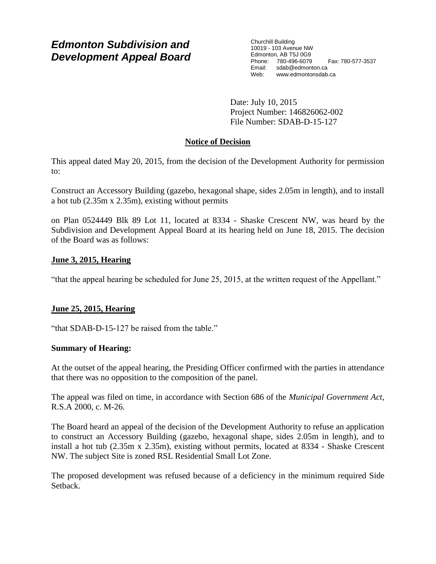# *Edmonton Subdivision and Development Appeal Board*

Churchill Building 10019 - 103 Avenue NW Edmonton, AB T5J 0G9 Phone: 780-496-6079 Fax: 780-577-3537 Email: sdab@edmonton.ca<br>Web: www.edmonton.ca Web: www.edmontonsdab.ca

Date: July 10, 2015 Project Number: 146826062-002 File Number: SDAB-D-15-127

## **Notice of Decision**

This appeal dated May 20, 2015, from the decision of the Development Authority for permission to:

Construct an Accessory Building (gazebo, hexagonal shape, sides 2.05m in length), and to install a hot tub (2.35m x 2.35m), existing without permits

on Plan 0524449 Blk 89 Lot 11, located at 8334 - Shaske Crescent NW, was heard by the Subdivision and Development Appeal Board at its hearing held on June 18, 2015. The decision of the Board was as follows:

## **June 3, 2015, Hearing**

"that the appeal hearing be scheduled for June 25, 2015, at the written request of the Appellant."

## **June 25, 2015, Hearing**

"that SDAB-D-15-127 be raised from the table."

## **Summary of Hearing:**

At the outset of the appeal hearing, the Presiding Officer confirmed with the parties in attendance that there was no opposition to the composition of the panel.

The appeal was filed on time, in accordance with Section 686 of the *Municipal Government Act*, R.S.A 2000, c. M-26.

The Board heard an appeal of the decision of the Development Authority to refuse an application to construct an Accessory Building (gazebo, hexagonal shape, sides 2.05m in length), and to install a hot tub (2.35m x 2.35m), existing without permits, located at 8334 - Shaske Crescent NW. The subject Site is zoned RSL Residential Small Lot Zone.

The proposed development was refused because of a deficiency in the minimum required Side Setback.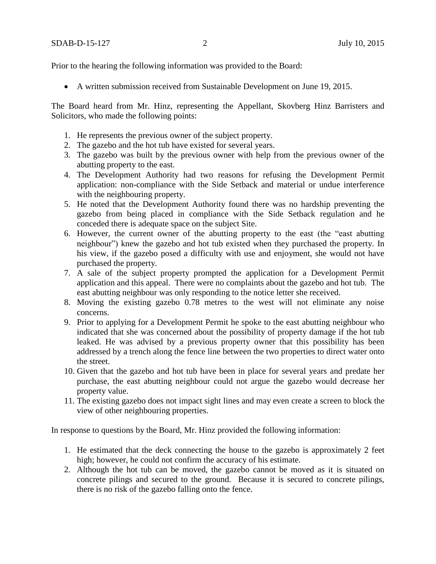Prior to the hearing the following information was provided to the Board:

A written submission received from Sustainable Development on June 19, 2015.

The Board heard from Mr. Hinz, representing the Appellant, Skovberg Hinz Barristers and Solicitors, who made the following points:

- 1. He represents the previous owner of the subject property.
- 2. The gazebo and the hot tub have existed for several years.
- 3. The gazebo was built by the previous owner with help from the previous owner of the abutting property to the east.
- 4. The Development Authority had two reasons for refusing the Development Permit application: non-compliance with the Side Setback and material or undue interference with the neighbouring property.
- 5. He noted that the Development Authority found there was no hardship preventing the gazebo from being placed in compliance with the Side Setback regulation and he conceded there is adequate space on the subject Site.
- 6. However, the current owner of the abutting property to the east (the "east abutting neighbour") knew the gazebo and hot tub existed when they purchased the property. In his view, if the gazebo posed a difficulty with use and enjoyment, she would not have purchased the property.
- 7. A sale of the subject property prompted the application for a Development Permit application and this appeal. There were no complaints about the gazebo and hot tub. The east abutting neighbour was only responding to the notice letter she received.
- 8. Moving the existing gazebo 0.78 metres to the west will not eliminate any noise concerns.
- 9. Prior to applying for a Development Permit he spoke to the east abutting neighbour who indicated that she was concerned about the possibility of property damage if the hot tub leaked. He was advised by a previous property owner that this possibility has been addressed by a trench along the fence line between the two properties to direct water onto the street.
- 10. Given that the gazebo and hot tub have been in place for several years and predate her purchase, the east abutting neighbour could not argue the gazebo would decrease her property value.
- 11. The existing gazebo does not impact sight lines and may even create a screen to block the view of other neighbouring properties.

In response to questions by the Board, Mr. Hinz provided the following information:

- 1. He estimated that the deck connecting the house to the gazebo is approximately 2 feet high; however, he could not confirm the accuracy of his estimate.
- 2. Although the hot tub can be moved, the gazebo cannot be moved as it is situated on concrete pilings and secured to the ground. Because it is secured to concrete pilings, there is no risk of the gazebo falling onto the fence.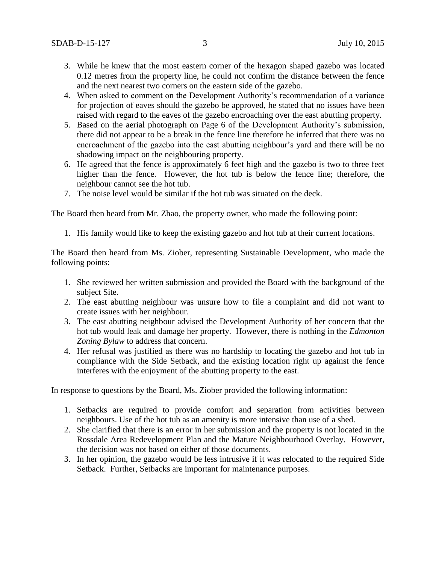- 3. While he knew that the most eastern corner of the hexagon shaped gazebo was located 0.12 metres from the property line, he could not confirm the distance between the fence and the next nearest two corners on the eastern side of the gazebo.
- 4. When asked to comment on the Development Authority's recommendation of a variance for projection of eaves should the gazebo be approved, he stated that no issues have been raised with regard to the eaves of the gazebo encroaching over the east abutting property.
- 5. Based on the aerial photograph on Page 6 of the Development Authority's submission, there did not appear to be a break in the fence line therefore he inferred that there was no encroachment of the gazebo into the east abutting neighbour's yard and there will be no shadowing impact on the neighbouring property.
- 6. He agreed that the fence is approximately 6 feet high and the gazebo is two to three feet higher than the fence. However, the hot tub is below the fence line; therefore, the neighbour cannot see the hot tub.
- 7. The noise level would be similar if the hot tub was situated on the deck.

The Board then heard from Mr. Zhao, the property owner, who made the following point:

1. His family would like to keep the existing gazebo and hot tub at their current locations.

The Board then heard from Ms. Ziober, representing Sustainable Development, who made the following points:

- 1. She reviewed her written submission and provided the Board with the background of the subject Site.
- 2. The east abutting neighbour was unsure how to file a complaint and did not want to create issues with her neighbour.
- 3. The east abutting neighbour advised the Development Authority of her concern that the hot tub would leak and damage her property. However, there is nothing in the *Edmonton Zoning Bylaw* to address that concern.
- 4. Her refusal was justified as there was no hardship to locating the gazebo and hot tub in compliance with the Side Setback, and the existing location right up against the fence interferes with the enjoyment of the abutting property to the east.

In response to questions by the Board, Ms. Ziober provided the following information:

- 1. Setbacks are required to provide comfort and separation from activities between neighbours. Use of the hot tub as an amenity is more intensive than use of a shed.
- 2. She clarified that there is an error in her submission and the property is not located in the Rossdale Area Redevelopment Plan and the Mature Neighbourhood Overlay. However, the decision was not based on either of those documents.
- 3. In her opinion, the gazebo would be less intrusive if it was relocated to the required Side Setback. Further, Setbacks are important for maintenance purposes.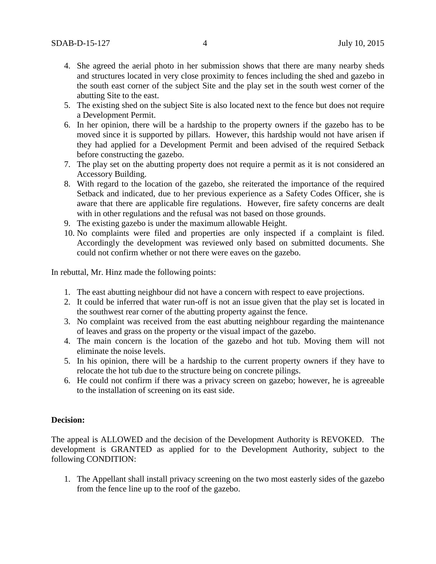- 4. She agreed the aerial photo in her submission shows that there are many nearby sheds and structures located in very close proximity to fences including the shed and gazebo in the south east corner of the subject Site and the play set in the south west corner of the abutting Site to the east.
- 5. The existing shed on the subject Site is also located next to the fence but does not require a Development Permit.
- 6. In her opinion, there will be a hardship to the property owners if the gazebo has to be moved since it is supported by pillars. However, this hardship would not have arisen if they had applied for a Development Permit and been advised of the required Setback before constructing the gazebo.
- 7. The play set on the abutting property does not require a permit as it is not considered an Accessory Building.
- 8. With regard to the location of the gazebo, she reiterated the importance of the required Setback and indicated, due to her previous experience as a Safety Codes Officer, she is aware that there are applicable fire regulations. However, fire safety concerns are dealt with in other regulations and the refusal was not based on those grounds.
- 9. The existing gazebo is under the maximum allowable Height.
- 10. No complaints were filed and properties are only inspected if a complaint is filed. Accordingly the development was reviewed only based on submitted documents. She could not confirm whether or not there were eaves on the gazebo.

In rebuttal, Mr. Hinz made the following points:

- 1. The east abutting neighbour did not have a concern with respect to eave projections.
- 2. It could be inferred that water run-off is not an issue given that the play set is located in the southwest rear corner of the abutting property against the fence.
- 3. No complaint was received from the east abutting neighbour regarding the maintenance of leaves and grass on the property or the visual impact of the gazebo.
- 4. The main concern is the location of the gazebo and hot tub. Moving them will not eliminate the noise levels.
- 5. In his opinion, there will be a hardship to the current property owners if they have to relocate the hot tub due to the structure being on concrete pilings.
- 6. He could not confirm if there was a privacy screen on gazebo; however, he is agreeable to the installation of screening on its east side.

#### **Decision:**

The appeal is ALLOWED and the decision of the Development Authority is REVOKED. The development is GRANTED as applied for to the Development Authority, subject to the following CONDITION:

1. The Appellant shall install privacy screening on the two most easterly sides of the gazebo from the fence line up to the roof of the gazebo.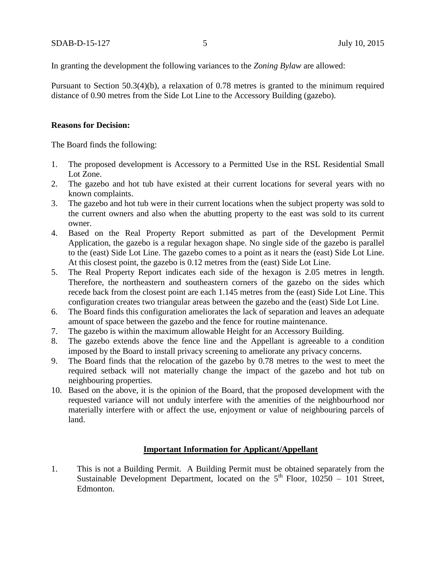In granting the development the following variances to the *Zoning Bylaw* are allowed:

Pursuant to Section 50.3(4)(b), a relaxation of 0.78 metres is granted to the minimum required distance of 0.90 metres from the Side Lot Line to the Accessory Building (gazebo).

### **Reasons for Decision:**

The Board finds the following:

- 1. The proposed development is Accessory to a Permitted Use in the RSL Residential Small Lot Zone.
- 2. The gazebo and hot tub have existed at their current locations for several years with no known complaints.
- 3. The gazebo and hot tub were in their current locations when the subject property was sold to the current owners and also when the abutting property to the east was sold to its current owner.
- 4. Based on the Real Property Report submitted as part of the Development Permit Application, the gazebo is a regular hexagon shape. No single side of the gazebo is parallel to the (east) Side Lot Line. The gazebo comes to a point as it nears the (east) Side Lot Line. At this closest point, the gazebo is 0.12 metres from the (east) Side Lot Line.
- 5. The Real Property Report indicates each side of the hexagon is 2.05 metres in length. Therefore, the northeastern and southeastern corners of the gazebo on the sides which recede back from the closest point are each 1.145 metres from the (east) Side Lot Line. This configuration creates two triangular areas between the gazebo and the (east) Side Lot Line.
- 6. The Board finds this configuration ameliorates the lack of separation and leaves an adequate amount of space between the gazebo and the fence for routine maintenance.
- 7. The gazebo is within the maximum allowable Height for an Accessory Building.
- 8. The gazebo extends above the fence line and the Appellant is agreeable to a condition imposed by the Board to install privacy screening to ameliorate any privacy concerns.
- 9. The Board finds that the relocation of the gazebo by 0.78 metres to the west to meet the required setback will not materially change the impact of the gazebo and hot tub on neighbouring properties.
- 10. Based on the above, it is the opinion of the Board, that the proposed development with the requested variance will not unduly interfere with the amenities of the neighbourhood nor materially interfere with or affect the use, enjoyment or value of neighbouring parcels of land.

### **Important Information for Applicant/Appellant**

1. This is not a Building Permit. A Building Permit must be obtained separately from the Sustainable Development Department, located on the  $5<sup>th</sup>$  Floor, 10250 – 101 Street, Edmonton.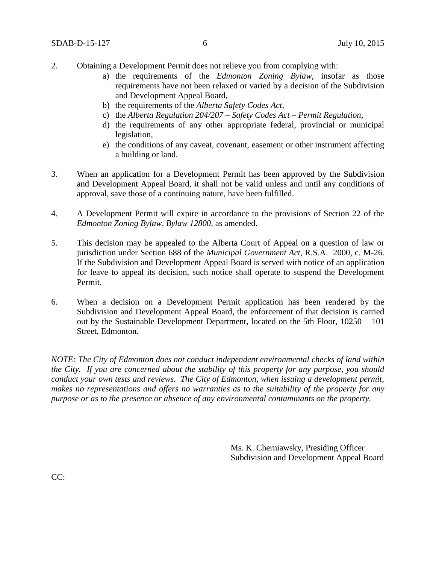- 2. Obtaining a Development Permit does not relieve you from complying with:
	- a) the requirements of the *Edmonton Zoning Bylaw*, insofar as those requirements have not been relaxed or varied by a decision of the Subdivision and Development Appeal Board,
	- b) the requirements of the *Alberta Safety Codes Act*,
	- c) the *Alberta Regulation 204/207 – Safety Codes Act – Permit Regulation*,
	- d) the requirements of any other appropriate federal, provincial or municipal legislation,
	- e) the conditions of any caveat, covenant, easement or other instrument affecting a building or land.
- 3. When an application for a Development Permit has been approved by the Subdivision and Development Appeal Board, it shall not be valid unless and until any conditions of approval, save those of a continuing nature, have been fulfilled.
- 4. A Development Permit will expire in accordance to the provisions of Section 22 of the *Edmonton Zoning Bylaw, Bylaw 12800*, as amended.
- 5. This decision may be appealed to the Alberta Court of Appeal on a question of law or jurisdiction under Section 688 of the *Municipal Government Act*, R.S.A. 2000, c. M-26. If the Subdivision and Development Appeal Board is served with notice of an application for leave to appeal its decision, such notice shall operate to suspend the Development Permit.
- 6. When a decision on a Development Permit application has been rendered by the Subdivision and Development Appeal Board, the enforcement of that decision is carried out by the Sustainable Development Department, located on the 5th Floor, 10250 – 101 Street, Edmonton.

*NOTE: The City of Edmonton does not conduct independent environmental checks of land within the City. If you are concerned about the stability of this property for any purpose, you should conduct your own tests and reviews. The City of Edmonton, when issuing a development permit, makes no representations and offers no warranties as to the suitability of the property for any purpose or as to the presence or absence of any environmental contaminants on the property.*

> Ms. K. Cherniawsky, Presiding Officer Subdivision and Development Appeal Board

CC: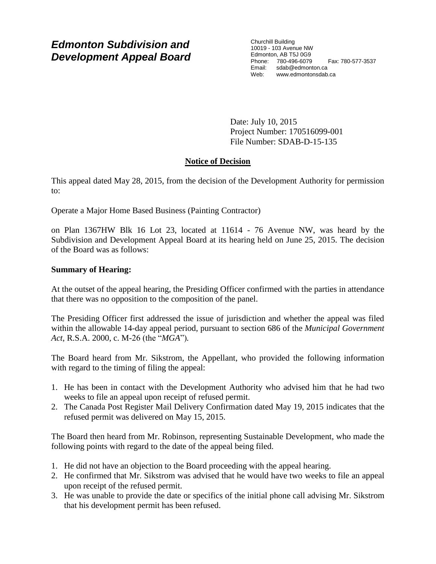# *Edmonton Subdivision and Development Appeal Board*

Churchill Building 10019 - 103 Avenue NW Edmonton, AB T5J 0G9 Phone: 780-496-6079 Fax: 780-577-3537 Email: sdab@edmonton.ca Web: www.edmontonsdab.ca

Date: July 10, 2015 Project Number: 170516099-001 File Number: SDAB-D-15-135

## **Notice of Decision**

This appeal dated May 28, 2015, from the decision of the Development Authority for permission to:

Operate a Major Home Based Business (Painting Contractor)

on Plan 1367HW Blk 16 Lot 23, located at 11614 - 76 Avenue NW, was heard by the Subdivision and Development Appeal Board at its hearing held on June 25, 2015. The decision of the Board was as follows:

## **Summary of Hearing:**

At the outset of the appeal hearing, the Presiding Officer confirmed with the parties in attendance that there was no opposition to the composition of the panel.

The Presiding Officer first addressed the issue of jurisdiction and whether the appeal was filed within the allowable 14-day appeal period, pursuant to section 686 of the *Municipal Government Act*, R.S.A. 2000, c. M-26 (the "*MGA*")*.*

The Board heard from Mr. Sikstrom, the Appellant, who provided the following information with regard to the timing of filing the appeal:

- 1. He has been in contact with the Development Authority who advised him that he had two weeks to file an appeal upon receipt of refused permit.
- 2. The Canada Post Register Mail Delivery Confirmation dated May 19, 2015 indicates that the refused permit was delivered on May 15, 2015.

The Board then heard from Mr. Robinson, representing Sustainable Development, who made the following points with regard to the date of the appeal being filed.

- 1. He did not have an objection to the Board proceeding with the appeal hearing.
- 2. He confirmed that Mr. Sikstrom was advised that he would have two weeks to file an appeal upon receipt of the refused permit.
- 3. He was unable to provide the date or specifics of the initial phone call advising Mr. Sikstrom that his development permit has been refused.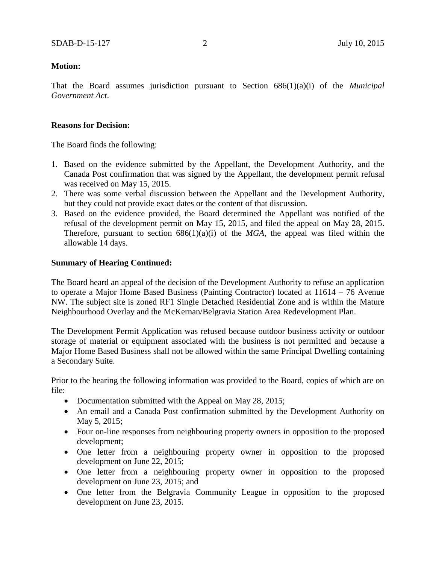That the Board assumes jurisdiction pursuant to Section 686(1)(a)(i) of the *Municipal Government Act*.

### **Reasons for Decision:**

The Board finds the following:

- 1. Based on the evidence submitted by the Appellant, the Development Authority, and the Canada Post confirmation that was signed by the Appellant, the development permit refusal was received on May 15, 2015.
- 2. There was some verbal discussion between the Appellant and the Development Authority, but they could not provide exact dates or the content of that discussion.
- 3. Based on the evidence provided, the Board determined the Appellant was notified of the refusal of the development permit on May 15, 2015, and filed the appeal on May 28, 2015. Therefore, pursuant to section  $686(1)(a)(i)$  of the *MGA*, the appeal was filed within the allowable 14 days.

### **Summary of Hearing Continued:**

The Board heard an appeal of the decision of the Development Authority to refuse an application to operate a Major Home Based Business (Painting Contractor) located at 11614 – 76 Avenue NW. The subject site is zoned RF1 Single Detached Residential Zone and is within the Mature Neighbourhood Overlay and the McKernan/Belgravia Station Area Redevelopment Plan.

The Development Permit Application was refused because outdoor business activity or outdoor storage of material or equipment associated with the business is not permitted and because a Major Home Based Business shall not be allowed within the same Principal Dwelling containing a Secondary Suite.

Prior to the hearing the following information was provided to the Board, copies of which are on file:

- Documentation submitted with the Appeal on May 28, 2015;
- An email and a Canada Post confirmation submitted by the Development Authority on May 5, 2015;
- Four on-line responses from neighbouring property owners in opposition to the proposed development;
- One letter from a neighbouring property owner in opposition to the proposed development on June 22, 2015;
- One letter from a neighbouring property owner in opposition to the proposed development on June 23, 2015; and
- One letter from the Belgravia Community League in opposition to the proposed development on June 23, 2015.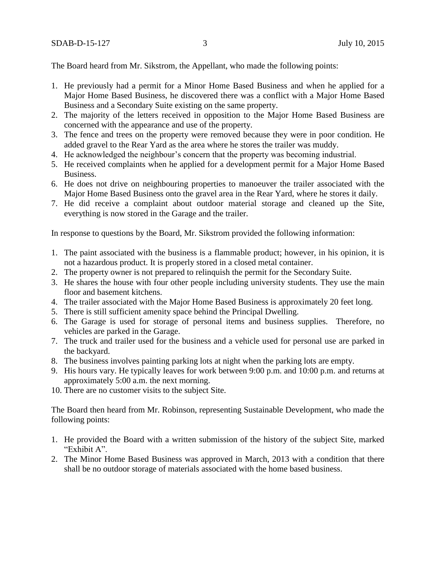The Board heard from Mr. Sikstrom, the Appellant, who made the following points:

- 1. He previously had a permit for a Minor Home Based Business and when he applied for a Major Home Based Business, he discovered there was a conflict with a Major Home Based Business and a Secondary Suite existing on the same property.
- 2. The majority of the letters received in opposition to the Major Home Based Business are concerned with the appearance and use of the property.
- 3. The fence and trees on the property were removed because they were in poor condition. He added gravel to the Rear Yard as the area where he stores the trailer was muddy.
- 4. He acknowledged the neighbour's concern that the property was becoming industrial.
- 5. He received complaints when he applied for a development permit for a Major Home Based Business.
- 6. He does not drive on neighbouring properties to manoeuver the trailer associated with the Major Home Based Business onto the gravel area in the Rear Yard, where he stores it daily.
- 7. He did receive a complaint about outdoor material storage and cleaned up the Site, everything is now stored in the Garage and the trailer.

In response to questions by the Board, Mr. Sikstrom provided the following information:

- 1. The paint associated with the business is a flammable product; however, in his opinion, it is not a hazardous product. It is properly stored in a closed metal container.
- 2. The property owner is not prepared to relinquish the permit for the Secondary Suite.
- 3. He shares the house with four other people including university students. They use the main floor and basement kitchens.
- 4. The trailer associated with the Major Home Based Business is approximately 20 feet long.
- 5. There is still sufficient amenity space behind the Principal Dwelling.
- 6. The Garage is used for storage of personal items and business supplies. Therefore, no vehicles are parked in the Garage.
- 7. The truck and trailer used for the business and a vehicle used for personal use are parked in the backyard.
- 8. The business involves painting parking lots at night when the parking lots are empty.
- 9. His hours vary. He typically leaves for work between 9:00 p.m. and 10:00 p.m. and returns at approximately 5:00 a.m. the next morning.
- 10. There are no customer visits to the subject Site.

The Board then heard from Mr. Robinson, representing Sustainable Development, who made the following points:

- 1. He provided the Board with a written submission of the history of the subject Site, marked "Exhibit A".
- 2. The Minor Home Based Business was approved in March, 2013 with a condition that there shall be no outdoor storage of materials associated with the home based business.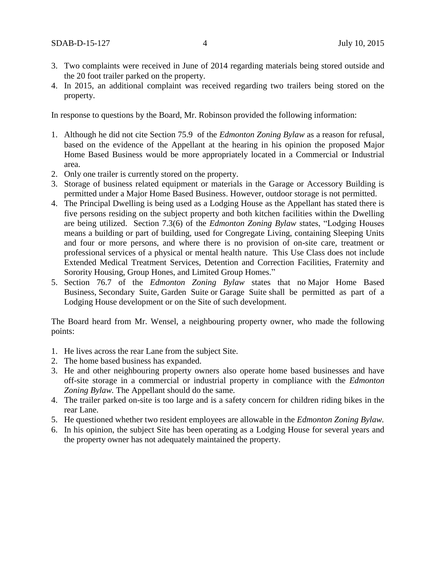- 3. Two complaints were received in June of 2014 regarding materials being stored outside and the 20 foot trailer parked on the property.
- 4. In 2015, an additional complaint was received regarding two trailers being stored on the property.

In response to questions by the Board, Mr. Robinson provided the following information:

- 1. Although he did not cite Section 75.9 of the *Edmonton Zoning Bylaw* as a reason for refusal, based on the evidence of the Appellant at the hearing in his opinion the proposed Major Home Based Business would be more appropriately located in a Commercial or Industrial area.
- 2. Only one trailer is currently stored on the property.
- 3. Storage of business related equipment or materials in the Garage or Accessory Building is permitted under a Major Home Based Business. However, outdoor storage is not permitted.
- 4. The Principal Dwelling is being used as a Lodging House as the Appellant has stated there is five persons residing on the subject property and both kitchen facilities within the Dwelling are being utilized. Section 7.3(6) of the *Edmonton Zoning Bylaw* states, "Lodging Houses means a building or part of building, used for Congregate Living, containing Sleeping Units and four or more persons, and where there is no provision of on-site care, treatment or professional services of a physical or mental health nature. This Use Class does not include Extended Medical Treatment Services, Detention and Correction Facilities, Fraternity and Sorority Housing, Group Hones, and Limited Group Homes."
- 5. Section 76.7 of the *Edmonton Zoning Bylaw* states that no [Major Home Based](javascript:void(0);)  [Business,](javascript:void(0);) [Secondary Suite,](javascript:void(0);) [Garden Suite](javascript:void(0);) or [Garage Suite](javascript:void(0);) shall be permitted as part of a Lodging House development or on the Site of such development.

The Board heard from Mr. Wensel, a neighbouring property owner, who made the following points:

- 1. He lives across the rear Lane from the subject Site.
- 2. The home based business has expanded.
- 3. He and other neighbouring property owners also operate home based businesses and have off-site storage in a commercial or industrial property in compliance with the *Edmonton Zoning Bylaw.* The Appellant should do the same.
- 4. The trailer parked on-site is too large and is a safety concern for children riding bikes in the rear Lane.
- 5. He questioned whether two resident employees are allowable in the *Edmonton Zoning Bylaw.*
- 6. In his opinion, the subject Site has been operating as a Lodging House for several years and the property owner has not adequately maintained the property.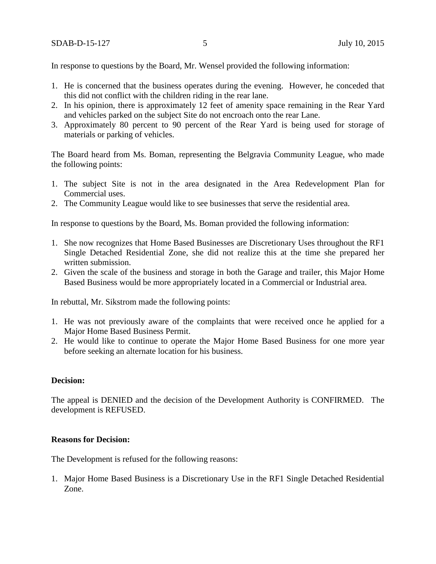In response to questions by the Board, Mr. Wensel provided the following information:

- 1. He is concerned that the business operates during the evening. However, he conceded that this did not conflict with the children riding in the rear lane.
- 2. In his opinion, there is approximately 12 feet of amenity space remaining in the Rear Yard and vehicles parked on the subject Site do not encroach onto the rear Lane.
- 3. Approximately 80 percent to 90 percent of the Rear Yard is being used for storage of materials or parking of vehicles.

The Board heard from Ms. Boman, representing the Belgravia Community League, who made the following points:

- 1. The subject Site is not in the area designated in the Area Redevelopment Plan for Commercial uses.
- 2. The Community League would like to see businesses that serve the residential area.

In response to questions by the Board, Ms. Boman provided the following information:

- 1. She now recognizes that Home Based Businesses are Discretionary Uses throughout the RF1 Single Detached Residential Zone, she did not realize this at the time she prepared her written submission.
- 2. Given the scale of the business and storage in both the Garage and trailer, this Major Home Based Business would be more appropriately located in a Commercial or Industrial area.

In rebuttal, Mr. Sikstrom made the following points:

- 1. He was not previously aware of the complaints that were received once he applied for a Major Home Based Business Permit.
- 2. He would like to continue to operate the Major Home Based Business for one more year before seeking an alternate location for his business.

### **Decision:**

The appeal is DENIED and the decision of the Development Authority is CONFIRMED. The development is REFUSED.

#### **Reasons for Decision:**

The Development is refused for the following reasons:

1. Major Home Based Business is a Discretionary Use in the RF1 Single Detached Residential Zone.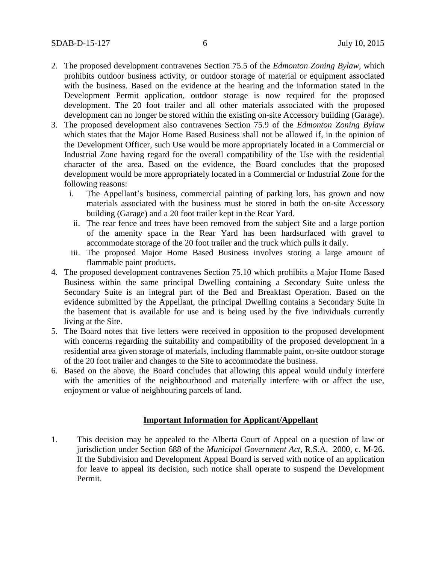- 2. The proposed development contravenes Section 75.5 of the *Edmonton Zoning Bylaw,* which prohibits outdoor business activity, or outdoor storage of material or equipment associated with the business. Based on the evidence at the hearing and the information stated in the Development Permit application, outdoor storage is now required for the proposed development. The 20 foot trailer and all other materials associated with the proposed development can no longer be stored within the existing on-site Accessory building (Garage).
- 3. The proposed development also contravenes Section 75.9 of the *Edmonton Zoning Bylaw*  which states that the Major Home Based Business shall not be allowed if, in the opinion of the Development Officer, such Use would be more appropriately located in a Commercial or Industrial Zone having regard for the overall compatibility of the Use with the residential character of the area. Based on the evidence, the Board concludes that the proposed development would be more appropriately located in a Commercial or Industrial Zone for the following reasons:
	- i. The Appellant's business, commercial painting of parking lots, has grown and now materials associated with the business must be stored in both the on-site Accessory building (Garage) and a 20 foot trailer kept in the Rear Yard.
	- ii. The rear fence and trees have been removed from the subject Site and a large portion of the amenity space in the Rear Yard has been hardsurfaced with gravel to accommodate storage of the 20 foot trailer and the truck which pulls it daily.
	- iii. The proposed Major Home Based Business involves storing a large amount of flammable paint products.
- 4. The proposed development contravenes Section 75.10 which prohibits a Major Home Based Business within the same principal Dwelling containing a Secondary Suite unless the Secondary Suite is an integral part of the Bed and Breakfast Operation. Based on the evidence submitted by the Appellant, the principal Dwelling contains a Secondary Suite in the basement that is available for use and is being used by the five individuals currently living at the Site.
- 5. The Board notes that five letters were received in opposition to the proposed development with concerns regarding the suitability and compatibility of the proposed development in a residential area given storage of materials, including flammable paint, on-site outdoor storage of the 20 foot trailer and changes to the Site to accommodate the business.
- 6. Based on the above, the Board concludes that allowing this appeal would unduly interfere with the amenities of the neighbourhood and materially interfere with or affect the use, enjoyment or value of neighbouring parcels of land.

## **Important Information for Applicant/Appellant**

1. This decision may be appealed to the Alberta Court of Appeal on a question of law or jurisdiction under Section 688 of the *Municipal Government Act*, R.S.A. 2000, c. M-26. If the Subdivision and Development Appeal Board is served with notice of an application for leave to appeal its decision, such notice shall operate to suspend the Development Permit.